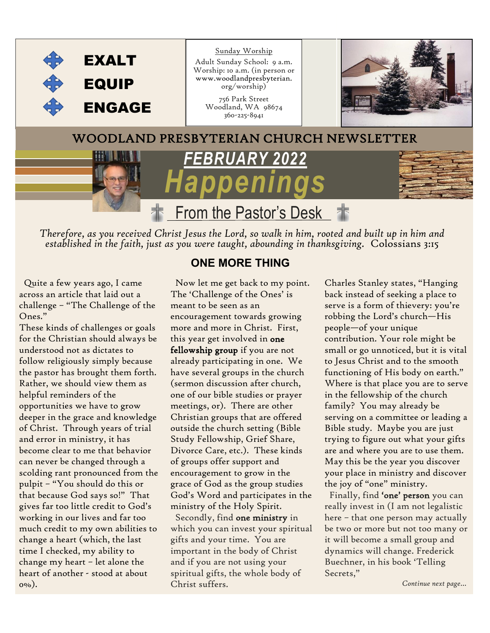

*Therefore, as you received Christ Jesus the Lord, so walk in him, rooted and built up in him and established in the faith, just as you were taught, abounding in thanksgiving.* Colossians 3:15

 Quite a few years ago, I came across an article that laid out a challenge – "The Challenge of the Ones."

These kinds of challenges or goals for the Christian should always be understood not as dictates to follow religiously simply because the pastor has brought them forth. Rather, we should view them as helpful reminders of the opportunities we have to grow deeper in the grace and knowledge of Christ. Through years of trial and error in ministry, it has become clear to me that behavior can never be changed through a scolding rant pronounced from the pulpit – "You should do this or that because God says so!" That gives far too little credit to God's working in our lives and far too much credit to my own abilities to change a heart (which, the last time I checked, my ability to change my heart – let alone the heart of another - stood at about 0%).

#### **ONE MORE THING**

 Now let me get back to my point. The 'Challenge of the Ones' is meant to be seen as an encouragement towards growing more and more in Christ. First, this year get involved in one fellowship group if you are not already participating in one. We have several groups in the church (sermon discussion after church, one of our bible studies or prayer meetings, or). There are other Christian groups that are offered outside the church setting (Bible Study Fellowship, Grief Share, Divorce Care, etc.). These kinds of groups offer support and encouragement to grow in the grace of God as the group studies God's Word and participates in the ministry of the Holy Spirit.

 Secondly, find one ministry in which you can invest your spiritual gifts and your time. You are important in the body of Christ and if you are not using your spiritual gifts, the whole body of Christ suffers.

Charles Stanley states, "Hanging back instead of seeking a place to serve is a form of thievery: you're robbing the Lord's church—His people—of your unique contribution. Your role might be small or go unnoticed, but it is vital to Jesus Christ and to the smooth functioning of His body on earth." Where is that place you are to serve in the fellowship of the church family? You may already be serving on a committee or leading a Bible study. Maybe you are just trying to figure out what your gifts are and where you are to use them. May this be the year you discover your place in ministry and discover the joy of "one" ministry.

 Finally, find 'one' person you can really invest in (I am not legalistic here – that one person may actually be two or more but not too many or it will become a small group and dynamics will change. Frederick Buechner, in his book 'Telling Secrets,"

*Continue next page…*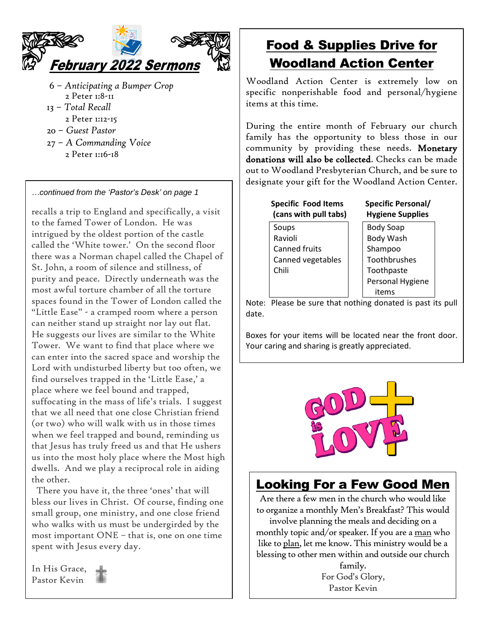

- 6 *Anticipating a Bumper Crop* 2 Peter 1:8-11 13 – *Total Recall*
- 2 Peter 1:12-15
- 20 *Guest Pastor*
- 27 *A Commanding Voice* 
	- 2 Peter 1:16-18

*…continued from the 'Pastor's Desk' on page 1*

recalls a trip to England and specifically, a visit to the famed Tower of London. He was intrigued by the oldest portion of the castle called the 'White tower.' On the second floor there was a Norman chapel called the Chapel of St. John, a room of silence and stillness, of purity and peace. Directly underneath was the most awful torture chamber of all the torture spaces found in the Tower of London called the "Little Ease" - a cramped room where a person can neither stand up straight nor lay out flat. He suggests our lives are similar to the White Tower. We want to find that place where we can enter into the sacred space and worship the Lord with undisturbed liberty but too often, we find ourselves trapped in the 'Little Ease,' a place where we feel bound and trapped, suffocating in the mass of life's trials. I suggest that we all need that one close Christian friend (or two) who will walk with us in those times when we feel trapped and bound, reminding us that Jesus has truly freed us and that He ushers us into the most holy place where the Most high dwells. And we play a reciprocal role in aiding the other.

 There you have it, the three 'ones' that will bless our lives in Christ. Of course, finding one small group, one ministry, and one close friend who walks with us must be undergirded by the most important ONE – that is, one on one time spent with Jesus every day.

In His Grace, Pastor Kevin

# Food & Supplies Drive for Woodland Action Center

Woodland Action Center is extremely low on specific nonperishable food and personal/hygiene items at this time.

During the entire month of February our church family has the opportunity to bless those in our community by providing these needs. Monetary donations will also be collected. Checks can be made out to Woodland Presbyterian Church, and be sure to designate your gift for the Woodland Action Center.

|                      | <b>Specific Food Items</b><br>(cans with pull tabs) | <b>Specific Pe</b><br><b>Hygiene Su</b> |
|----------------------|-----------------------------------------------------|-----------------------------------------|
| Soups                |                                                     | <b>Body Soap</b>                        |
| Ravioli              |                                                     | <b>Body Wash</b>                        |
| <b>Canned fruits</b> |                                                     | Shampoo                                 |
|                      | Canned vegetables                                   | Toothbrus                               |
| Chili                |                                                     | Toothpast                               |
|                      |                                                     | Personal H                              |
|                      |                                                     | items                                   |

*<u>Ersonal/</u>* **(cans with pull tabs) Hygiene Supplies**

sh shes te Hygiene

Note: Please be sure that nothing donated is past its pull date.

Boxes for your items will be located near the front door. Your caring and sharing is greatly appreciated.



#### Looking For a Few Good Men

Are there a few men in the church who would like to organize a monthly Men's Breakfast? This would involve planning the meals and deciding on a monthly topic and/or speaker. If you are a man who like to plan, let me know. This ministry would be a blessing to other men within and outside our church

family. For God's Glory, Pastor Kevin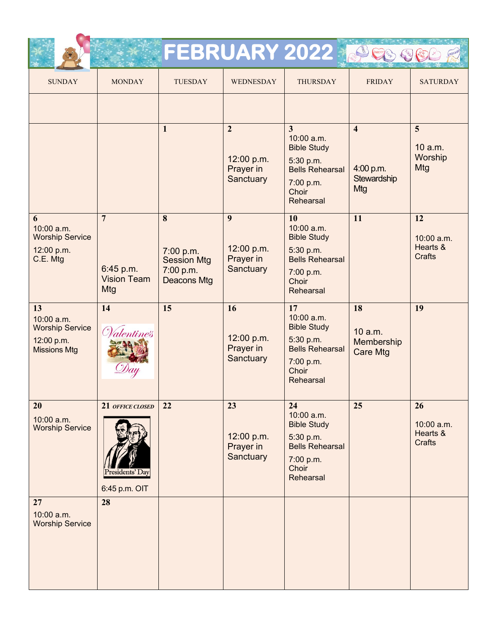|                                                                                 |                                                          |                                                                         |                                                        | FEBRUARY 2022 Sesse                                                                                                          |                                                            |                                               |
|---------------------------------------------------------------------------------|----------------------------------------------------------|-------------------------------------------------------------------------|--------------------------------------------------------|------------------------------------------------------------------------------------------------------------------------------|------------------------------------------------------------|-----------------------------------------------|
| <b>SUNDAY</b>                                                                   | <b>MONDAY</b>                                            | <b>TUESDAY</b>                                                          | <b>WEDNESDAY</b>                                       | <b>THURSDAY</b>                                                                                                              | <b>FRIDAY</b>                                              | <b>SATURDAY</b>                               |
|                                                                                 |                                                          |                                                                         |                                                        |                                                                                                                              |                                                            |                                               |
|                                                                                 |                                                          | $\mathbf{1}$                                                            | $\overline{2}$<br>12:00 p.m.<br>Prayer in<br>Sanctuary | $\overline{3}$<br>10:00 a.m.<br><b>Bible Study</b><br>5:30 p.m.<br><b>Bells Rehearsal</b><br>7:00 p.m.<br>Choir<br>Rehearsal | $\overline{\mathbf{4}}$<br>4:00 p.m.<br>Stewardship<br>Mtg | 5<br>10 a.m.<br>Worship<br>Mtg                |
| 6<br>10:00 a.m.<br><b>Worship Service</b><br>12:00 p.m.<br>C.E. Mtg             | $\overline{7}$<br>6:45 p.m.<br><b>Vision Team</b><br>Mtg | 8<br>7:00 p.m.<br><b>Session Mtg</b><br>7:00 p.m.<br><b>Deacons Mtg</b> | 9<br>12:00 p.m.<br>Prayer in<br>Sanctuary              | 10<br>10:00 a.m.<br><b>Bible Study</b><br>5:30 p.m.<br><b>Bells Rehearsal</b><br>7:00 p.m.<br>Choir<br>Rehearsal             | 11                                                         | 12<br>10:00 a.m.<br>Hearts &<br><b>Crafts</b> |
| 13<br>10:00 a.m.<br><b>Worship Service</b><br>12:00 p.m.<br><b>Missions Mtg</b> | 14<br>Valentines                                         | 15                                                                      | 16<br>12:00 p.m.<br>Prayer in<br>Sanctuary             | 17<br>10:00 a.m.<br><b>Bible Study</b><br>5:30 p.m.<br><b>Bells Rehearsal</b><br>7:00 p.m.<br>Choir<br>Rehearsal             | 18<br>10 a.m.<br>Membership<br><b>Care Mtg</b>             | 19                                            |
| 20<br>10:00 a.m.<br><b>Worship Service</b>                                      | 21 OFFICE CLOSED<br>esidents′ Dav<br>6:45 p.m. OIT       | 22                                                                      | 23<br>12:00 p.m.<br>Prayer in<br>Sanctuary             | 24<br>10:00 a.m.<br><b>Bible Study</b><br>5:30 p.m.<br><b>Bells Rehearsal</b><br>7:00 p.m.<br>Choir<br>Rehearsal             | 25                                                         | 26<br>10:00 a.m.<br>Hearts &<br>Crafts        |
| 27<br>10:00 a.m.<br><b>Worship Service</b>                                      | 28                                                       |                                                                         |                                                        |                                                                                                                              |                                                            |                                               |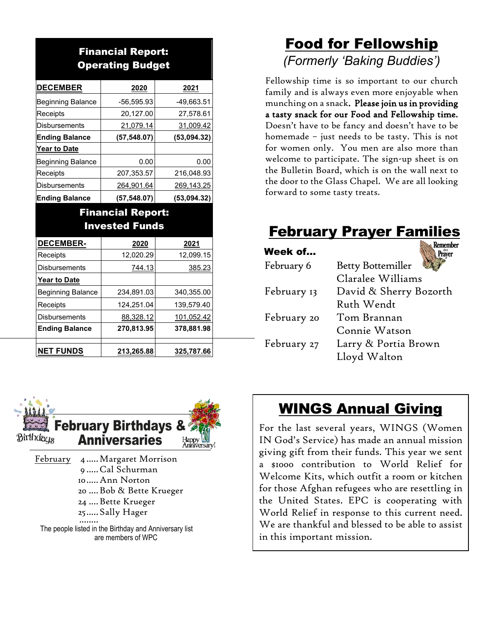#### Financial Report: Operating Budget

| <b>DECEMBER</b>          | 2020         | 2021        |
|--------------------------|--------------|-------------|
| <b>Beginning Balance</b> | -56,595.93   | -49,663.51  |
| Receipts                 | 20,127.00    | 27,578.61   |
| <b>Disbursements</b>     | 21,079.14    | 31,009.42   |
| <b>Ending Balance</b>    | (57, 548.07) | (53,094.32) |
| Year to Date             |              |             |
| <b>Beginning Balance</b> | 0.00         | 0.00        |
| Receipts                 | 207,353.57   | 216,048.93  |
| <b>Disbursements</b>     | 264,901.64   | 269,143.25  |
| <b>Ending Balance</b>    | (57, 548.07) | (53,094.32) |

#### Financial Report: Invested Funds

| <b>DECEMBER-</b>         | 2020       | 2021          |
|--------------------------|------------|---------------|
| Receipts                 | 12,020.29  | 12,099.15     |
| <b>Disbursements</b>     | 744.13     | <u>385.23</u> |
| <b>Year to Date</b>      |            |               |
| <b>Beginning Balance</b> | 234,891.03 | 340,355.00    |
| Receipts                 | 124,251.04 | 139,579.40    |
| <b>Disbursements</b>     | 88,328.12  | 101,052.42    |
| <b>Ending Balance</b>    | 270,813.95 | 378,881.98    |
|                          |            |               |
| <b>NET FUNDS</b>         | 213,265.88 | 325,787.66    |



February 4 ..... Margaret Morrison 9 .....Cal Schurman 10.....Ann Norton 20 ....Bob & Bette Krueger 24 ....Bette Krueger 25.....Sally Hager ........ The people listed in the Birthday and Anniversary list are members of WPC

# Food for Fellowship *(Formerly 'Baking Buddies')*

Fellowship time is so important to our church family and is always even more enjoyable when munching on a snack. Please join us in providing a tasty snack for our Food and Fellowship time. Doesn't have to be fancy and doesn't have to be homemade – just needs to be tasty. This is not for women only. You men are also more than welcome to participate. The sign-up sheet is on the Bulletin Board, which is on the wall next to the door to the Glass Chapel. We are all looking forward to some tasty treats.

# February Prayer Families

| Week of     | ver                      |
|-------------|--------------------------|
| February 6  | <b>Betty Bottemiller</b> |
|             | Claralee Williams        |
| February 13 | David & Sherry Bozorth   |
|             | Ruth Wendt               |
| February 20 | Tom Brannan              |
|             | Connie Watson            |
| February 27 | Larry & Portia Brown     |
|             | Lloyd Walton             |
|             |                          |

# WINGS Annual Giving

For the last several years, WINGS (Women IN God's Service) has made an annual mission giving gift from their funds. This year we sent a \$1000 contribution to World Relief for Welcome Kits, which outfit a room or kitchen for those Afghan refugees who are resettling in the United States. EPC is cooperating with World Relief in response to this current need. We are thankful and blessed to be able to assist in this important mission.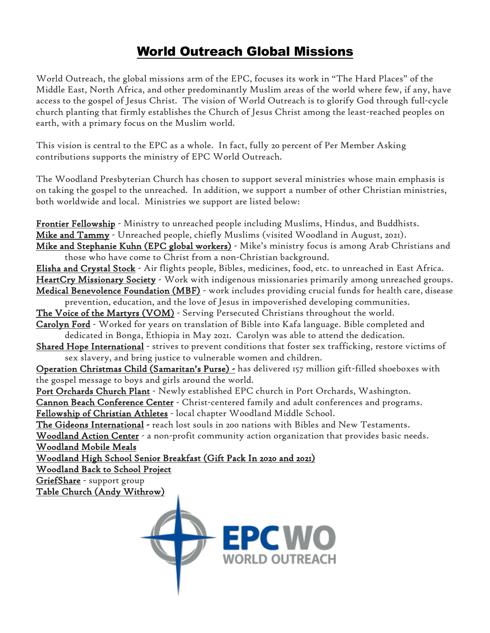#### World Outreach Global Missions

World Outreach, the global missions arm of the EPC, focuses its work in "The Hard Places" of the Middle East, North Africa, and other predominantly Muslim areas of the world where few, if any, have access to the gospel of Jesus Christ. The vision of World Outreach is to glorify God through full-cycle church planting that firmly establishes the Church of Jesus Christ among the least-reached peoples on earth, with a primary focus on the Muslim world.

This vision is central to the EPC as a whole. In fact, fully 20 percent of Per Member Asking contributions supports the ministry of EPC World Outreach.

The Woodland Presbyterian Church has chosen to support several ministries whose main emphasis is on taking the gospel to the unreached. In addition, we support a number of other Christian ministries, both worldwide and local. Ministries we support are listed below:

Frontier Fellowship - Ministry to unreached people including Muslims, Hindus, and Buddhists. Mike and Tammy - Unreached people, chiefly Muslims (visited Woodland in August, 2021). Mike and Stephanie Kuhn (EPC global workers) - Mike's ministry focus is among Arab Christians and those who have come to Christ from a non-Christian background. Elisha and Crystal Stock - Air flights people, Bibles, medicines, food, etc. to unreached in East Africa. HeartCry Missionary Society - Work with indigenous missionaries primarily among unreached groups. Medical Benevolence Foundation (MBF) - work includes providing crucial funds for health care, disease prevention, education, and the love of Jesus in impoverished developing communities. The Voice of the Martyrs (VOM) - Serving Persecuted Christians throughout the world. Carolyn Ford - Worked for years on translation of Bible into Kafa language. Bible completed and dedicated in Bonga, Ethiopia in May 2021. Carolyn was able to attend the dedication. Shared Hope International - strives to prevent conditions that foster sex trafficking, restore victims of sex slavery, and bring justice to vulnerable women and children. Operation Christmas Child (Samaritan's Purse) - has delivered 157 million gift-filled shoeboxes with the gospel message to boys and girls around the world. Port Orchards Church Plant - Newly established EPC church in Port Orchards, Washington. Cannon Beach Conference Center - Christ-centered family and adult conferences and programs. Fellowship of Christian Athletes - local chapter Woodland Middle School. The Gideons International - reach lost souls in 200 nations with Bibles and New Testaments. Woodland Action Center - a non-profit community action organization that provides basic needs. Woodland Mobile Meals Woodland High School Senior Breakfast (Gift Pack In 2020 and 2021) Woodland Back to School Project GriefShare - support group Table Church (Andy Withrow)

>